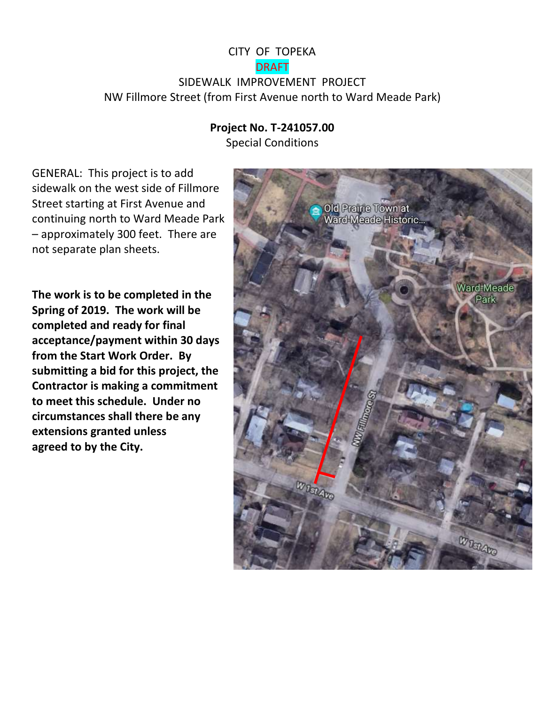## CITY OF TOPEKA DRAFT SIDEWALK IMPROVEMENT PROJECT NW Fillmore Street (from First Avenue north to Ward Meade Park)

## **Project No. T-241057.00**

Special Conditions

GENERAL: This project is to add sidewalk on the west side of Fillmore Street starting at First Avenue and continuing north to Ward Meade Park – approximately 300 feet. There are not separate plan sheets.

**The work is to be completed in the Spring of 2019. The work will be completed and ready for final acceptance/payment within 30 days from the Start Work Order. By submitting a bid for this project, the Contractor is making a commitment to meet this schedule. Under no circumstances shall there be any extensions granted unless agreed to by the City.**

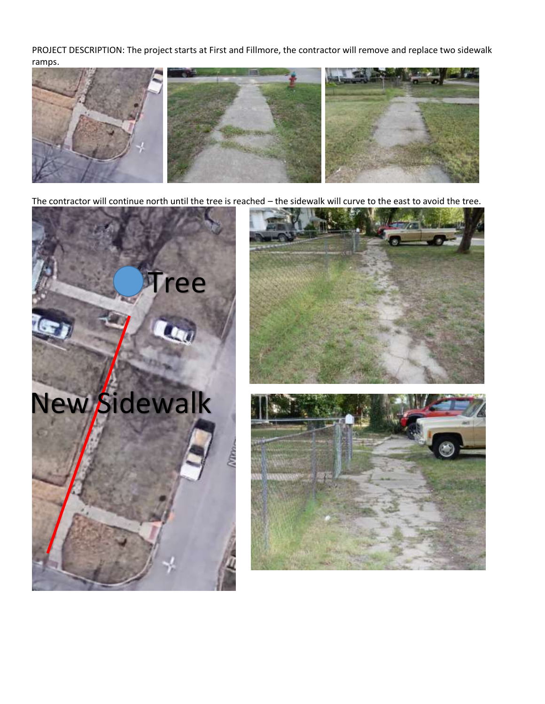PROJECT DESCRIPTION: The project starts at First and Fillmore, the contractor will remove and replace two sidewalk ramps.



The contractor will continue north until the tree is reached – the sidewalk will curve to the east to avoid the tree.



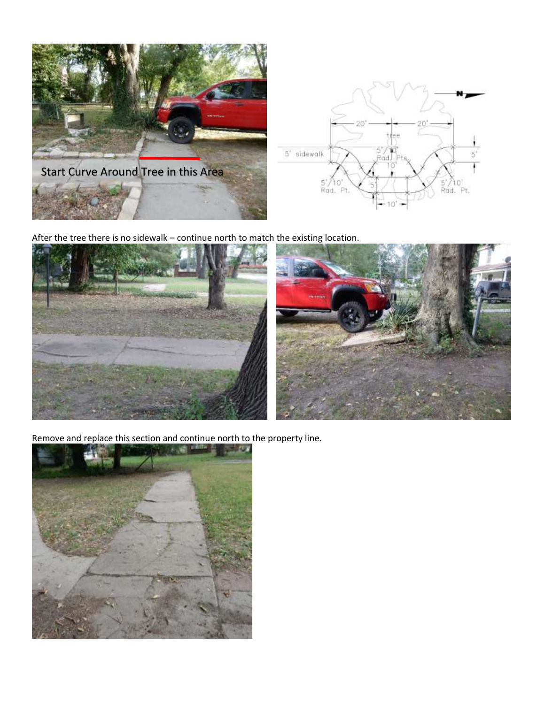

After the tree there is no sidewalk – continue north to match the existing location.



Remove and replace this section and continue north to the property line.